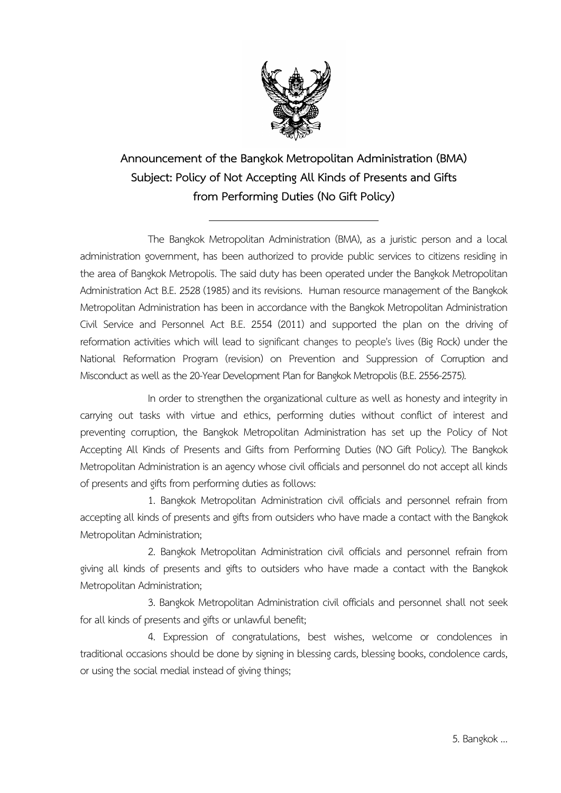

**Announcement of the Bangkok Metropolitan Administration (BMA) Subject: Policy of Not Accepting All Kinds of Presents and Gifts from Performing Duties (No Gift Policy)**

The Bangkok Metropolitan Administration (BMA), as a juristic person and a local administration government, has been authorized to provide public services to citizens residing in the area of Bangkok Metropolis. The said duty has been operated under the Bangkok Metropolitan Administration Act B.E. 2528 (1985) and its revisions. Human resource management of the Bangkok Metropolitan Administration has been in accordance with the Bangkok Metropolitan Administration Civil Service and Personnel Act B.E. 2554 (2011) and supported the plan on the driving of reformation activities which will lead to significant changes to people's lives (Big Rock) under the National Reformation Program (revision) on Prevention and Suppression of Corruption and Misconduct as well as the 20-Year Development Plan for Bangkok Metropolis (B.E. 2556-2575).

In order to strengthen the organizational culture as well as honesty and integrity in carrying out tasks with virtue and ethics, performing duties without conflict of interest and preventing corruption, the Bangkok Metropolitan Administration has set up the Policy of Not Accepting All Kinds of Presents and Gifts from Performing Duties (NO Gift Policy). The Bangkok Metropolitan Administration is an agency whose civil officials and personnel do not accept all kinds of presents and gifts from performing duties as follows:

1. Bangkok Metropolitan Administration civil officials and personnel refrain from accepting all kinds of presents and gifts from outsiders who have made a contact with the Bangkok Metropolitan Administration;

2. Bangkok Metropolitan Administration civil officials and personnel refrain from giving all kinds of presents and gifts to outsiders who have made a contact with the Bangkok Metropolitan Administration;

3. Bangkok Metropolitan Administration civil officials and personnel shall not seek for all kinds of presents and gifts or unlawful benefit;

4. Expression of congratulations, best wishes, welcome or condolences in traditional occasions should be done by signing in blessing cards, blessing books, condolence cards, or using the social medial instead of giving things;